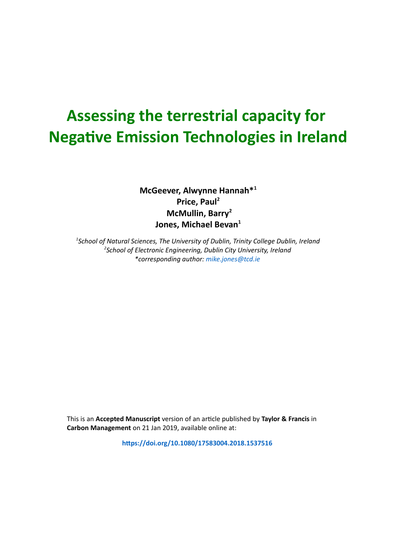# **Assessing the terrestrial capacity for Negative Emission Technologies in Ireland**

**McGeever, Alwynne Hannah\*<sup>1</sup> Price, Paul<sup>2</sup> McMullin, Barry<sup>2</sup> Jones, Michael Bevan<sup>1</sup>**

*1 School of Natural Sciences, The University of Dublin, Trinity College Dublin, Ireland 2 School of Electronic Engineering, Dublin City University, Ireland \*corresponding author: [mike.jones@tcd.ie](mailto:mike.jones@tcd.ie)*

This is an **Accepted Manuscript** version of an article published by **Taylor & Francis** in **Carbon Management** on 21 Jan 2019, available online at:

**<https://doi.org/10.1080/17583004.2018.1537516>**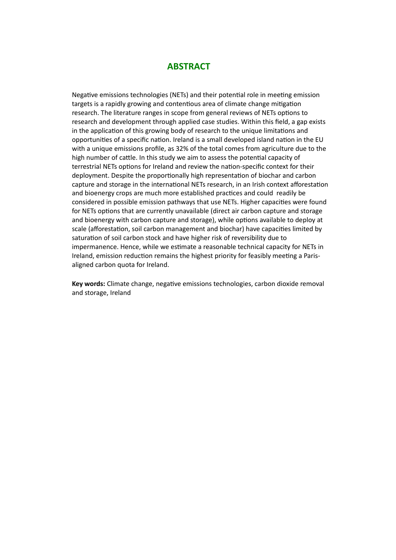## **ABSTRACT**

Negative emissions technologies (NETs) and their potential role in meeting emission targets is a rapidly growing and contentious area of climate change mitigation research. The literature ranges in scope from general reviews of NETs options to research and development through applied case studies. Within this field, a gap exists in the application of this growing body of research to the unique limitations and opportunities of a specific nation. Ireland is a small developed island nation in the EU with a unique emissions profile, as 32% of the total comes from agriculture due to the high number of cattle. In this study we aim to assess the potential capacity of terrestrial NETs options for Ireland and review the nation-specific context for their deployment. Despite the proportionally high representation of biochar and carbon capture and storage in the international NETs research, in an Irish context afforestation and bioenergy crops are much more established practices and could readily be considered in possible emission pathways that use NETs. Higher capacities were found for NETs options that are currently unavailable (direct air carbon capture and storage and bioenergy with carbon capture and storage), while options available to deploy at scale (afforestation, soil carbon management and biochar) have capacities limited by saturation of soil carbon stock and have higher risk of reversibility due to impermanence. Hence, while we estimate a reasonable technical capacity for NETs in Ireland, emission reduction remains the highest priority for feasibly meeting a Parisaligned carbon quota for Ireland.

**Key words:** Climate change, negative emissions technologies, carbon dioxide removal and storage, Ireland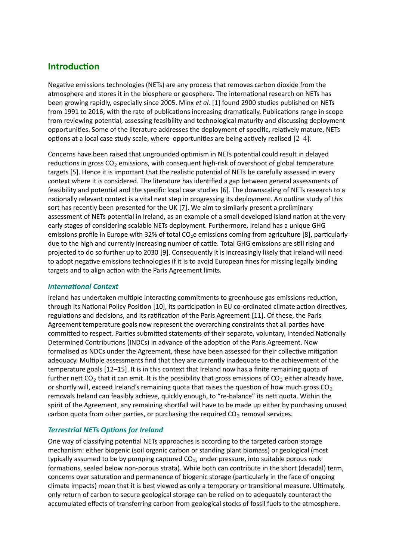## **Introduction**

Negative emissions technologies (NETs) are any process that removes carbon dioxide from the atmosphere and stores it in the biosphere or geosphere. The international research on NETs has been growing rapidly, especially since 2005. Minx *et al.* [1] found 2900 studies published on NETs from 1991 to 2016, with the rate of publications increasing dramatically. Publications range in scope from reviewing potential, assessing feasibility and technological maturity and discussing deployment opportunities. Some of the literature addresses the deployment of specific, relatively mature, NETs options at a local case study scale, where opportunities are being actively realised [2–4].

Concerns have been raised that ungrounded optimism in NETs potential could result in delayed reductions in gross  $CO<sub>2</sub>$  emissions, with consequent high-risk of overshoot of global temperature targets [5]. Hence it is important that the realistic potential of NETs be carefully assessed in every context where it is considered. The literature has identified a gap between general assessments of feasibility and potential and the specific local case studies [6]. The downscaling of NETs research to a nationally relevant context is a vital next step in progressing its deployment. An outline study of this sort has recently been presented for the UK [7]. We aim to similarly present a preliminary assessment of NETs potential in Ireland, as an example of a small developed island nation at the very early stages of considering scalable NETs deployment. Furthermore, Ireland has a unique GHG emissions profile in Europe with 32% of total  $CO<sub>2</sub>e$  emissions coming from agriculture [8], particularly due to the high and currently increasing number of cattle. Total GHG emissions are still rising and projected to do so further up to 2030 [9]. Consequently it is increasingly likely that Ireland will need to adopt negative emissions technologies if it is to avoid European fines for missing legally binding targets and to align action with the Paris Agreement limits.

## *International Context*

Ireland has undertaken multiple interacting commitments to greenhouse gas emissions reduction, through its National Policy Position [10], its participation in EU co-ordinated climate action directives, regulations and decisions, and its ratification of the Paris Agreement [11]. Of these, the Paris Agreement temperature goals now represent the overarching constraints that all parties have committed to respect. Parties submitted statements of their separate, voluntary, Intended Nationally Determined Contributions (INDCs) in advance of the adoption of the Paris Agreement. Now formalised as NDCs under the Agreement, these have been assessed for their collective mitigation adequacy. Multiple assessments find that they are currently inadequate to the achievement of the temperature goals [12–15]. It is in this context that Ireland now has a finite remaining quota of further nett  $CO<sub>2</sub>$  that it can emit. It is the possibility that gross emissions of  $CO<sub>2</sub>$  either already have, or shortly will, exceed Ireland's remaining quota that raises the question of how much gross  $CO<sub>2</sub>$ removals Ireland can feasibly achieve, quickly enough, to "re-balance" its nett quota. Within the spirit of the Agreement, any remaining shortfall will have to be made up either by purchasing unused carbon quota from other parties, or purchasing the required  $CO<sub>2</sub>$  removal services.

## *Terrestrial NETs Options for Ireland*

One way of classifying potential NETs approaches is according to the targeted carbon storage mechanism: either biogenic (soil organic carbon or standing plant biomass) or geological (most typically assumed to be by pumping captured  $CO<sub>2</sub>$ , under pressure, into suitable porous rock formations, sealed below non-porous strata). While both can contribute in the short (decadal) term, concerns over saturation and permanence of biogenic storage (particularly in the face of ongoing climate impacts) mean that it is best viewed as only a temporary or transitional measure. Ultimately, only return of carbon to secure geological storage can be relied on to adequately counteract the accumulated effects of transferring carbon from geological stocks of fossil fuels to the atmosphere.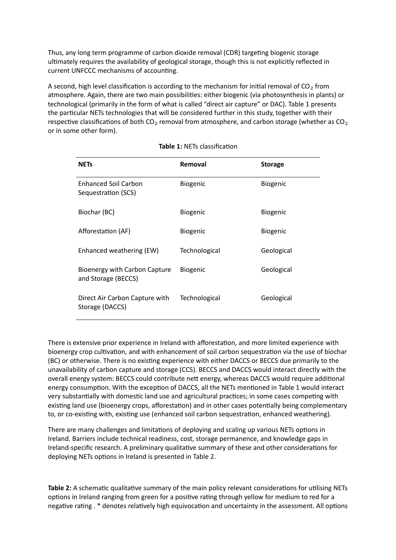Thus, any long term programme of carbon dioxide removal (CDR) targeting biogenic storage ultimately requires the availability of geological storage, though this is not explicitly reflected in current UNFCCC mechanisms of accounting.

A second, high level classification is according to the mechanism for initial removal of  $CO_2$  from atmosphere. Again, there are two main possibilities: either biogenic (via photosynthesis in plants) or technological (primarily in the form of what is called "direct air capture" or DAC). Table 1 presents the particular NETs technologies that will be considered further in this study, together with their respective classifications of both  $CO<sub>2</sub>$  removal from atmosphere, and carbon storage (whether as  $CO<sub>2</sub>$ or in some other form).

| <b>NETs</b>                                          | Removal         | <b>Storage</b>  |
|------------------------------------------------------|-----------------|-----------------|
| <b>Enhanced Soil Carbon</b><br>Sequestration (SCS)   | <b>Biogenic</b> | <b>Biogenic</b> |
| Biochar (BC)                                         | <b>Biogenic</b> | <b>Biogenic</b> |
| Afforestation (AF)                                   | Biogenic        | <b>Biogenic</b> |
| Enhanced weathering (EW)                             | Technological   | Geological      |
| Bioenergy with Carbon Capture<br>and Storage (BECCS) | <b>Biogenic</b> | Geological      |
| Direct Air Carbon Capture with<br>Storage (DACCS)    | Technological   | Geological      |

#### **Table 1:** NETs classification

There is extensive prior experience in Ireland with afforestation, and more limited experience with bioenergy crop cultivation, and with enhancement of soil carbon sequestration via the use of biochar (BC) or otherwise. There is no existing experience with either DACCS or BECCS due primarily to the unavailability of carbon capture and storage (CCS). BECCS and DACCS would interact directly with the overall energy system: BECCS could contribute nett energy, whereas DACCS would require additional energy consumption. With the exception of DACCS, all the NETs mentioned in Table 1 would interact very substantially with domestic land use and agricultural practices; in some cases competing with existing land use (bioenergy crops, afforestation) and in other cases potentially being complementary to, or co-existing with, existing use (enhanced soil carbon sequestration, enhanced weathering).

There are many challenges and limitations of deploying and scaling up various NETs options in Ireland. Barriers include technical readiness, cost, storage permanence, and knowledge gaps in Ireland-specific research. A preliminary qualitative summary of these and other considerations for deploying NETs options in Ireland is presented in Table 2.

**Table 2:** A schematic qualitative summary of the main policy relevant considerations for utilising NETs options in Ireland ranging from green for a positive rating through yellow for medium to red for a negative rating . \* denotes relatively high equivocation and uncertainty in the assessment. All options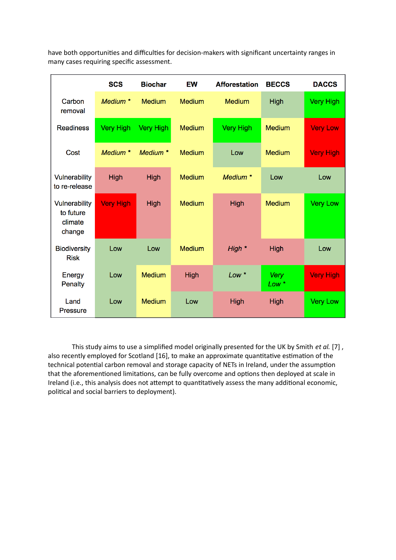have both opportunities and difficulties for decision-makers with significant uncertainty ranges in many cases requiring specific assessment.

|                                                        | <b>SCS</b>       | <b>Biochar</b> | EW            | <b>Afforestation</b> | <b>BECCS</b>  | <b>DACCS</b>     |
|--------------------------------------------------------|------------------|----------------|---------------|----------------------|---------------|------------------|
| Carbon<br>removal                                      | Medium *         | <b>Medium</b>  | <b>Medium</b> | <b>Medium</b>        | High          | <b>Very High</b> |
| <b>Readiness</b>                                       | <b>Very High</b> | Very High      | <b>Medium</b> | <b>Very High</b>     | <b>Medium</b> | <b>Very Low</b>  |
| Cost                                                   | Medium *         | Medium *       | <b>Medium</b> | Low                  | <b>Medium</b> | <b>Very High</b> |
| Vulnerability<br>to re-release                         | <b>High</b>      | <b>High</b>    | <b>Medium</b> | Medium *             | Low           | Low              |
| <b>Vulnerability</b><br>to future<br>climate<br>change | <b>Very High</b> | <b>High</b>    | <b>Medium</b> | <b>High</b>          | <b>Medium</b> | <b>Very Low</b>  |
| <b>Biodiversity</b><br><b>Risk</b>                     | Low              | Low            | <b>Medium</b> | High *               | <b>High</b>   | Low              |
| <b>Energy</b><br><b>Penalty</b>                        | Low              | <b>Medium</b>  | <b>High</b>   | Low *                | Very<br>Low * | <b>Very High</b> |
| Land<br><b>Pressure</b>                                | Low              | <b>Medium</b>  | Low           | <b>High</b>          | <b>High</b>   | <b>Very Low</b>  |

This study aims to use a simplified model originally presented for the UK by Smith *et al.* [7] , also recently employed for Scotland [16], to make an approximate quantitative estimation of the technical potential carbon removal and storage capacity of NETs in Ireland, under the assumption that the aforementioned limitations, can be fully overcome and options then deployed at scale in Ireland (i.e., this analysis does not attempt to quantitatively assess the many additional economic, political and social barriers to deployment).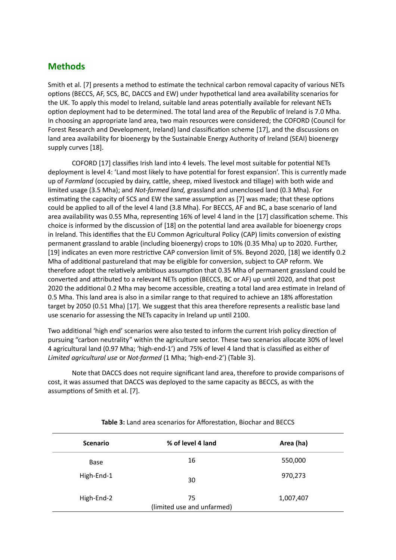## **Methods**

Smith et al. [7] presents a method to estimate the technical carbon removal capacity of various NETs options (BECCS, AF, SCS, BC, DACCS and EW) under hypothetical land area availability scenarios for the UK. To apply this model to Ireland, suitable land areas potentially available for relevant NETs option deployment had to be determined. The total land area of the Republic of Ireland is 7.0 Mha. In choosing an appropriate land area, two main resources were considered; the COFORD (Council for Forest Research and Development, Ireland) land classification scheme [17], and the discussions on land area availability for bioenergy by the Sustainable Energy Authority of Ireland (SEAI) bioenergy supply curves [18].

COFORD [17] classifies Irish land into 4 levels. The level most suitable for potential NETs deployment is level 4: 'Land most likely to have potential for forest expansion'. This is currently made up of *Farmland* (occupied by dairy, cattle, sheep, mixed livestock and tillage) with both wide and limited usage (3.5 Mha); and *Not-farmed land,* grassland and unenclosed land (0.3 Mha). For estimating the capacity of SCS and EW the same assumption as [7] was made; that these options could be applied to all of the level 4 land (3.8 Mha). For BECCS, AF and BC, a base scenario of land area availability was 0.55 Mha, representing 16% of level 4 land in the [17] classification scheme. This choice is informed by the discussion of [18] on the potential land area available for bioenergy crops in Ireland. This identifies that the EU Common Agricultural Policy (CAP) limits conversion of existing permanent grassland to arable (including bioenergy) crops to 10% (0.35 Mha) up to 2020. Further, [19] indicates an even more restrictive CAP conversion limit of 5%. Beyond 2020, [18] we identify 0.2 Mha of additional pastureland that may be eligible for conversion, subject to CAP reform. We therefore adopt the relatively ambitious assumption that 0.35 Mha of permanent grassland could be converted and attributed to a relevant NETs option (BECCS, BC or AF) up until 2020, and that post 2020 the additional 0.2 Mha may become accessible, creating a total land area estimate in Ireland of 0.5 Mha. This land area is also in a similar range to that required to achieve an 18% afforestation target by 2050 (0.51 Mha) [17]. We suggest that this area therefore represents a realistic base land use scenario for assessing the NETs capacity in Ireland up until 2100.

Two additional 'high end' scenarios were also tested to inform the current Irish policy direction of pursuing "carbon neutrality" within the agriculture sector. These two scenarios allocate 30% of level 4 agricultural land (0.97 Mha; 'high-end-1') and 75% of level 4 land that is classified as either of *Limited agricultural use* or *Not-farmed* (1 Mha; 'high-end-2') (Table 3).

Note that DACCS does not require significant land area, therefore to provide comparisons of cost, it was assumed that DACCS was deployed to the same capacity as BECCS, as with the assumptions of Smith et al. [7].

| <b>Scenario</b> | % of level 4 land                | Area (ha) |
|-----------------|----------------------------------|-----------|
| Base            | 16                               | 550,000   |
| High-End-1      | 30                               | 970,273   |
| High-End-2      | 75<br>(limited use and unfarmed) | 1,007,407 |

**Table 3:** Land area scenarios for Afforestation, Biochar and BECCS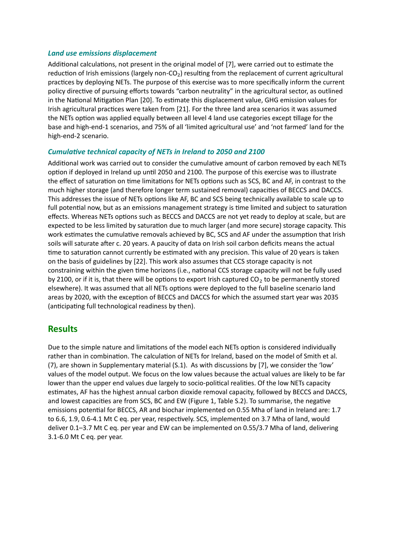#### *Land use emissions displacement*

Additional calculations, not present in the original model of [7], were carried out to estimate the reduction of Irish emissions (largely non-CO<sub>2</sub>) resulting from the replacement of current agricultural practices by deploying NETs. The purpose of this exercise was to more specifically inform the current policy directive of pursuing efforts towards "carbon neutrality" in the agricultural sector, as outlined in the National Mitigation Plan [20]. To estimate this displacement value, GHG emission values for Irish agricultural practices were taken from [21]. For the three land area scenarios it was assumed the NETs option was applied equally between all level 4 land use categories except tillage for the base and high-end-1 scenarios, and 75% of all 'limited agricultural use' and 'not farmed' land for the high-end-2 scenario.

#### *Cumulative technical capacity of NETs in Ireland to 2050 and 2100*

Additional work was carried out to consider the cumulative amount of carbon removed by each NETs option if deployed in Ireland up until 2050 and 2100. The purpose of this exercise was to illustrate the effect of saturation on time limitations for NETs options such as SCS, BC and AF, in contrast to the much higher storage (and therefore longer term sustained removal) capacities of BECCS and DACCS. This addresses the issue of NETs options like AF, BC and SCS being technically available to scale up to full potential now, but as an emissions management strategy is time limited and subject to saturation effects. Whereas NETs options such as BECCS and DACCS are not yet ready to deploy at scale, but are expected to be less limited by saturation due to much larger (and more secure) storage capacity. This work estimates the cumulative removals achieved by BC, SCS and AF under the assumption that Irish soils will saturate after c. 20 years. A paucity of data on Irish soil carbon deficits means the actual time to saturation cannot currently be estimated with any precision. This value of 20 years is taken on the basis of guidelines by [22]. This work also assumes that CCS storage capacity is not constraining within the given time horizons (i.e., national CCS storage capacity will not be fully used by 2100, or if it is, that there will be options to export Irish captured  $CO<sub>2</sub>$  to be permanently stored elsewhere). It was assumed that all NETs options were deployed to the full baseline scenario land areas by 2020, with the exception of BECCS and DACCS for which the assumed start year was 2035 (anticipating full technological readiness by then).

## **Results**

Due to the simple nature and limitations of the model each NETs option is considered individually rather than in combination. The calculation of NETs for Ireland, based on the model of Smith et al. (7), are shown in Supplementary material (S.1). As with discussions by [7], we consider the 'low' values of the model output. We focus on the low values because the actual values are likely to be far lower than the upper end values due largely to socio-political realities. Of the low NETs capacity estimates, AF has the highest annual carbon dioxide removal capacity, followed by BECCS and DACCS, and lowest capacities are from SCS, BC and EW (Figure 1, Table S.2). To summarise, the negative emissions potential for BECCS, AR and biochar implemented on 0.55 Mha of land in Ireland are: 1.7 to 6.6, 1.9, 0.6-4.1 Mt C eq. per year, respectively. SCS, implemented on 3.7 Mha of land, would deliver 0.1–3.7 Mt C eq. per year and EW can be implemented on 0.55/3.7 Mha of land, delivering 3.1-6.0 Mt C eq. per year.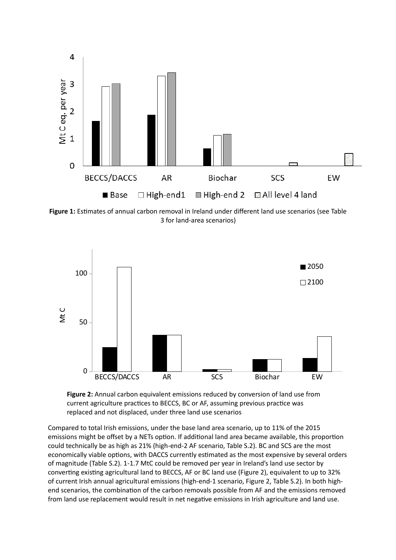

**Figure 1:** Estimates of annual carbon removal in Ireland under different land use scenarios (see Table 3 for land-area scenarios)





Compared to total Irish emissions, under the base land area scenario, up to 11% of the 2015 emissions might be offset by a NETs option. If additional land area became available, this proportion could technically be as high as 21% (high-end-2 AF scenario, Table S.2). BC and SCS are the most economically viable options, with DACCS currently estimated as the most expensive by several orders of magnitude (Table S.2). 1-1.7 MtC could be removed per year in Ireland's land use sector by converting existing agricultural land to BECCS, AF or BC land use (Figure 2), equivalent to up to 32% of current Irish annual agricultural emissions (high-end-1 scenario, Figure 2, Table S.2). In both highend scenarios, the combination of the carbon removals possible from AF and the emissions removed from land use replacement would result in net negative emissions in Irish agriculture and land use.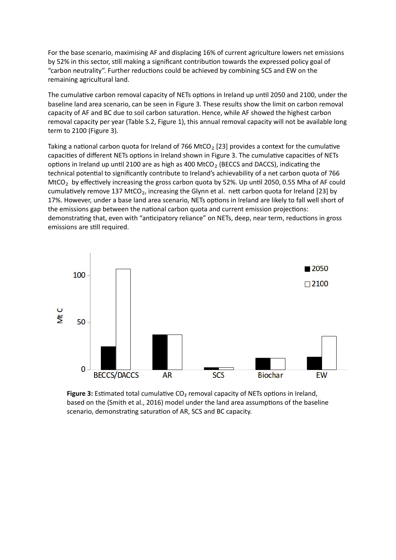For the base scenario, maximising AF and displacing 16% of current agriculture lowers net emissions by 52% in this sector, still making a significant contribution towards the expressed policy goal of "carbon neutrality". Further reductions could be achieved by combining SCS and EW on the remaining agricultural land.

The cumulative carbon removal capacity of NETs options in Ireland up until 2050 and 2100, under the baseline land area scenario, can be seen in Figure 3. These results show the limit on carbon removal capacity of AF and BC due to soil carbon saturation. Hence, while AF showed the highest carbon removal capacity per year (Table S.2, Figure 1), this annual removal capacity will not be available long term to 2100 (Figure 3).

Taking a national carbon quota for Ireland of 766 MtCO<sub>2</sub> [23] provides a context for the cumulative capacities of different NETs options in Ireland shown in Figure 3. The cumulative capacities of NETs options in Ireland up until 2100 are as high as 400 MtCO<sub>2</sub> (BECCS and DACCS), indicating the technical potential to significantly contribute to Ireland's achievability of a net carbon quota of 766 MtCO<sub>2</sub> by effectively increasing the gross carbon quota by 52%. Up until 2050, 0.55 Mha of AF could cumulatively remove 137 MtCO<sub>2</sub>, increasing the Glynn et al. nett carbon quota for Ireland [23] by 17%. However, under a base land area scenario, NETs options in Ireland are likely to fall well short of the emissions gap between the national carbon quota and current emission projections: demonstrating that, even with "anticipatory reliance" on NETs, deep, near term, reductions in gross emissions are still required.



**Figure 3:** Estimated total cumulative CO<sub>2</sub> removal capacity of NETs options in Ireland, based on the (Smith et al., 2016) model under the land area assumptions of the baseline scenario, demonstrating saturation of AR, SCS and BC capacity.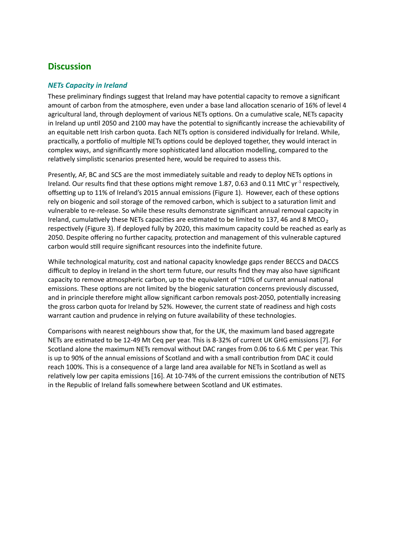## **Discussion**

## *NETs Capacity in Ireland*

These preliminary findings suggest that Ireland may have potential capacity to remove a significant amount of carbon from the atmosphere, even under a base land allocation scenario of 16% of level 4 agricultural land, through deployment of various NETs options. On a cumulative scale, NETs capacity in Ireland up until 2050 and 2100 may have the potential to significantly increase the achievability of an equitable nett Irish carbon quota. Each NETs option is considered individually for Ireland. While, practically, a portfolio of multiple NETs options could be deployed together, they would interact in complex ways, and significantly more sophisticated land allocation modelling, compared to the relatively simplistic scenarios presented here, would be required to assess this.

Presently, AF, BC and SCS are the most immediately suitable and ready to deploy NETs options in Ireland. Our results find that these options might remove 1.87, 0.63 and 0.11 MtC  $yr<sup>-1</sup>$  respectively, offsetting up to 11% of Ireland's 2015 annual emissions (Figure 1). However, each of these options rely on biogenic and soil storage of the removed carbon, which is subject to a saturation limit and vulnerable to re-release. So while these results demonstrate significant annual removal capacity in Ireland, cumulatively these NETs capacities are estimated to be limited to 137, 46 and 8 MtCO<sub>2</sub> respectively (Figure 3). If deployed fully by 2020, this maximum capacity could be reached as early as 2050. Despite offering no further capacity, protection and management of this vulnerable captured carbon would still require significant resources into the indefinite future.

While technological maturity, cost and national capacity knowledge gaps render BECCS and DACCS difficult to deploy in Ireland in the short term future, our results find they may also have significant capacity to remove atmospheric carbon, up to the equivalent of ~10% of current annual national emissions. These options are not limited by the biogenic saturation concerns previously discussed, and in principle therefore might allow significant carbon removals post-2050, potentially increasing the gross carbon quota for Ireland by 52%. However, the current state of readiness and high costs warrant caution and prudence in relying on future availability of these technologies.

Comparisons with nearest neighbours show that, for the UK, the maximum land based aggregate NETs are estimated to be 12-49 Mt Ceq per year. This is 8-32% of current UK GHG emissions [7]. For Scotland alone the maximum NETs removal without DAC ranges from 0.06 to 6.6 Mt C per year. This is up to 90% of the annual emissions of Scotland and with a small contribution from DAC it could reach 100%. This is a consequence of a large land area available for NETs in Scotland as well as relatively low per capita emissions [16]. At 10-74% of the current emissions the contribution of NETS in the Republic of Ireland falls somewhere between Scotland and UK estimates.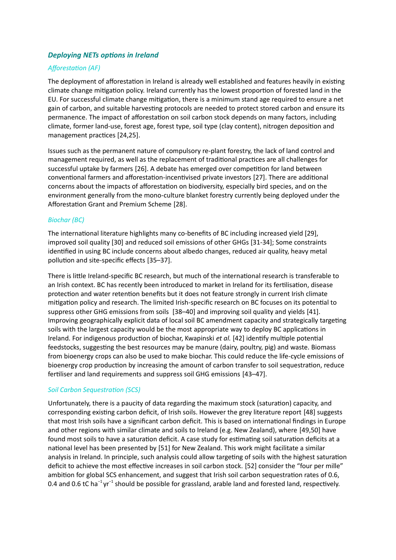#### *Deploying NETs options in Ireland*

#### *Afforestation (AF)*

The deployment of afforestation in Ireland is already well established and features heavily in existing climate change mitigation policy. Ireland currently has the lowest proportion of forested land in the EU. For successful climate change mitigation, there is a minimum stand age required to ensure a net gain of carbon, and suitable harvesting protocols are needed to protect stored carbon and ensure its permanence. The impact of afforestation on soil carbon stock depends on many factors, including climate, former land-use, forest age, forest type, soil type (clay content), nitrogen deposition and management practices [24,25].

Issues such as the permanent nature of compulsory re-plant forestry, the lack of land control and management required, as well as the replacement of traditional practices are all challenges for successful uptake by farmers [26]. A debate has emerged over competition for land between conventional farmers and afforestation-incentivised private investors [27]. There are additional concerns about the impacts of afforestation on biodiversity, especially bird species, and on the environment generally from the mono-culture blanket forestry currently being deployed under the Afforestation Grant and Premium Scheme [28].

#### *Biochar (BC)*

The international literature highlights many co-benefits of BC including increased yield [29], improved soil quality [30] and reduced soil emissions of other GHGs [31-34]; Some constraints identified in using BC include concerns about albedo changes, reduced air quality, heavy metal pollution and site-specific effects [35–37].

There is little Ireland-specific BC research, but much of the international research is transferable to an Irish context. BC has recently been introduced to market in Ireland for its fertilisation, disease protection and water retention benefits but it does not feature strongly in current Irish climate mitigation policy and research. The limited Irish-specific research on BC focuses on its potential to suppress other GHG emissions from soils [38–40] and improving soil quality and yields [41]. Improving geographically explicit data of local soil BC amendment capacity and strategically targeting soils with the largest capacity would be the most appropriate way to deploy BC applications in Ireland. For indigenous production of biochar, Kwapinski *et al.* [42] identify multiple potential feedstocks, suggesting the best resources may be manure (dairy, poultry, pig) and waste. Biomass from bioenergy crops can also be used to make biochar. This could reduce the life-cycle emissions of bioenergy crop production by increasing the amount of carbon transfer to soil sequestration, reduce fertiliser and land requirements and suppress soil GHG emissions [43–47].

#### *Soil Carbon Sequestration (SCS)*

Unfortunately, there is a paucity of data regarding the maximum stock (saturation) capacity, and corresponding existing carbon deficit, of Irish soils. However the grey literature report [48] suggests that most Irish soils have a significant carbon deficit. This is based on international findings in Europe and other regions with similar climate and soils to Ireland (e.g. New Zealand), where [49,50] have found most soils to have a saturation deficit. A case study for estimating soil saturation deficits at a national level has been presented by [51] for New Zealand. This work might facilitate a similar analysis in Ireland. In principle, such analysis could allow targeting of soils with the highest saturation deficit to achieve the most effective increases in soil carbon stock. [52] consider the "four per mille" ambition for global SCS enhancement, and suggest that Irish soil carbon sequestration rates of 0.6, 0.4 and 0.6 tC ha<sup>-1</sup> yr<sup>-1</sup> should be possible for grassland, arable land and forested land, respectively.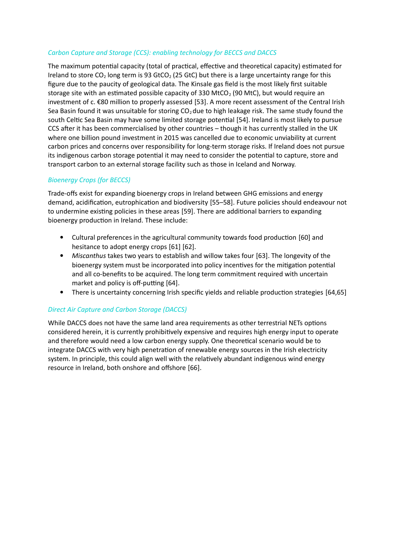## *Carbon Capture and Storage (CCS): enabling technology for BECCS and DACCS*

The maximum potential capacity (total of practical, effective and theoretical capacity) estimated for Ireland to store  $CO<sub>2</sub>$  long term is 93 GtCO<sub>2</sub> (25 GtC) but there is a large uncertainty range for this figure due to the paucity of geological data. The Kinsale gas field is the most likely first suitable storage site with an estimated possible capacity of 330 MtCO<sub>2</sub> (90 MtC), but would require an investment of c. €80 million to properly assessed [53]. A more recent assessment of the Central Irish Sea Basin found it was unsuitable for storing  $CO<sub>2</sub>$  due to high leakage risk. The same study found the south Celtic Sea Basin may have some limited storage potential [54]. Ireland is most likely to pursue CCS after it has been commercialised by other countries – though it has currently stalled in the UK where one billion pound investment in 2015 was cancelled due to economic unviability at current carbon prices and concerns over responsibility for long-term storage risks. If Ireland does not pursue its indigenous carbon storage potential it may need to consider the potential to capture, store and transport carbon to an external storage facility such as those in Iceland and Norway.

## *Bioenergy Crops (for BECCS)*

Trade-offs exist for expanding bioenergy crops in Ireland between GHG emissions and energy demand, acidification, eutrophication and biodiversity [55–58]. Future policies should endeavour not to undermine existing policies in these areas [59]. There are additional barriers to expanding bioenergy production in Ireland. These include:

- Cultural preferences in the agricultural community towards food production [60] and hesitance to adopt energy crops [61] [62].
- *Miscanthus* takes two years to establish and willow takes four [63]. The longevity of the bioenergy system must be incorporated into policy incentives for the mitigation potential and all co-benefits to be acquired. The long term commitment required with uncertain market and policy is off-putting [64].
- There is uncertainty concerning Irish specific yields and reliable production strategies [64,65]

## *Direct Air Capture and Carbon Storage (DACCS)*

While DACCS does not have the same land area requirements as other terrestrial NETs options considered herein, it is currently prohibitively expensive and requires high energy input to operate and therefore would need a low carbon energy supply. One theoretical scenario would be to integrate DACCS with very high penetration of renewable energy sources in the Irish electricity system. In principle, this could align well with the relatively abundant indigenous wind energy resource in Ireland, both onshore and offshore [66].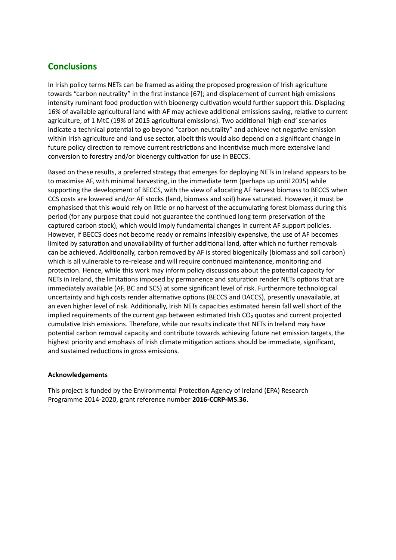# **Conclusions**

In Irish policy terms NETs can be framed as aiding the proposed progression of Irish agriculture towards "carbon neutrality" in the first instance [67]; and displacement of current high emissions intensity ruminant food production with bioenergy cultivation would further support this. Displacing 16% of available agricultural land with AF may achieve additional emissions saving, relative to current agriculture, of 1 MtC (19% of 2015 agricultural emissions). Two additional 'high-end' scenarios indicate a technical potential to go beyond "carbon neutrality" and achieve net negative emission within Irish agriculture and land use sector, albeit this would also depend on a significant change in future policy direction to remove current restrictions and incentivise much more extensive land conversion to forestry and/or bioenergy cultivation for use in BECCS.

Based on these results, a preferred strategy that emerges for deploying NETs in Ireland appears to be to maximise AF, with minimal harvesting, in the immediate term (perhaps up until 2035) while supporting the development of BECCS, with the view of allocating AF harvest biomass to BECCS when CCS costs are lowered and/or AF stocks (land, biomass and soil) have saturated. However, it must be emphasised that this would rely on little or no harvest of the accumulating forest biomass during this period (for any purpose that could not guarantee the continued long term preservation of the captured carbon stock), which would imply fundamental changes in current AF support policies. However, if BECCS does not become ready or remains infeasibly expensive, the use of AF becomes limited by saturation and unavailability of further additional land, after which no further removals can be achieved. Additionally, carbon removed by AF is stored biogenically (biomass and soil carbon) which is all vulnerable to re-release and will require continued maintenance, monitoring and protection. Hence, while this work may inform policy discussions about the potential capacity for NETs in Ireland, the limitations imposed by permanence and saturation render NETs options that are immediately available (AF, BC and SCS) at some significant level of risk. Furthermore technological uncertainty and high costs render alternative options (BECCS and DACCS), presently unavailable, at an even higher level of risk. Additionally, Irish NETs capacities estimated herein fall well short of the implied requirements of the current gap between estimated Irish  $CO<sub>2</sub>$  quotas and current projected cumulative Irish emissions. Therefore, while our results indicate that NETs in Ireland may have potential carbon removal capacity and contribute towards achieving future net emission targets, the highest priority and emphasis of Irish climate mitigation actions should be immediate, significant, and sustained reductions in gross emissions.

## **Acknowledgements**

This project is funded by the Environmental Protection Agency of Ireland (EPA) Research Programme 2014-2020, grant reference number **2016-CCRP-MS.36**.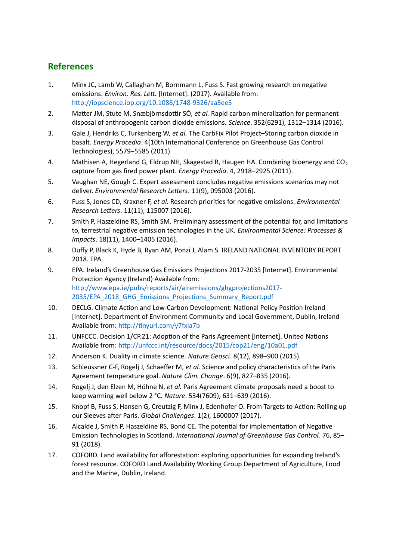# **References**

- 1. Minx JC, Lamb W, Callaghan M, Bornmann L, Fuss S. Fast growing research on negative emissions. *Environ. Res. Lett.* [Internet]. (2017). Available from: <http://iopscience.iop.org/10.1088/1748-9326/aa5ee5>
- 2. Matter JM, Stute M, Snæbjörnsdottir SÓ, *et al.* Rapid carbon mineralization for permanent disposal of anthropogenic carbon dioxide emissions. *Science*. 352(6291), 1312–1314 (2016).
- 3. Gale J, Hendriks C, Turkenberg W, *et al.* The CarbFix Pilot Project–Storing carbon dioxide in basalt. *Energy Procedia*. 4(10th International Conference on Greenhouse Gas Control Technologies), 5579–5585 (2011).
- 4. Mathisen A, Hegerland G, Eldrup NH, Skagestad R, Haugen HA. Combining bioenergy and  $CO<sub>2</sub>$ capture from gas fired power plant. *Energy Procedia*. 4, 2918–2925 (2011).
- 5. Vaughan NE, Gough C. Expert assessment concludes negative emissions scenarios may not deliver. *Environmental Research Letters*. 11(9), 095003 (2016).
- 6. Fuss S, Jones CD, Kraxner F, *et al.* Research priorities for negative emissions. *Environmental Research Letters*. 11(11), 115007 (2016).
- 7. Smith P, Haszeldine RS, Smith SM. Preliminary assessment of the potential for, and limitations to, terrestrial negative emission technologies in the UK. *Environmental Science: Processes & Impacts*. 18(11), 1400–1405 (2016).
- 8. Duffy P, Black K, Hyde B, Ryan AM, Ponzi J, Alam S. IRELAND NATIONAL INVENTORY REPORT 2018. EPA.
- 9. EPA. Ireland's Greenhouse Gas Emissions Projections 2017-2035 [Internet]. Environmental Protection Agency (Ireland) Available from: [http://www.epa.ie/pubs/reports/air/airemissions/ghgprojections2017-](http://www.epa.ie/pubs/reports/air/airemissions/ghgprojections2017-2035/EPA_2018_GHG_Emissions_Projections_Summary_Report.pdf) [2035/EPA\\_2018\\_GHG\\_Emissions\\_Projections\\_Summary\\_Report.pdf](http://www.epa.ie/pubs/reports/air/airemissions/ghgprojections2017-2035/EPA_2018_GHG_Emissions_Projections_Summary_Report.pdf)
- 10. DECLG. Climate Action and Low-Carbon Development: National Policy Position Ireland [Internet]. Department of Environment Community and Local Government, Dublin, Ireland Available from:<http://tinyurl.com/y7fxla7b>
- 11. UNFCCC. Decision 1/CP.21: Adoption of the Paris Agreement [Internet]. United Nations Available from:<http://unfccc.int/resource/docs/2015/cop21/eng/10a01.pdf>
- 12. Anderson K. Duality in climate science. *Nature Geosci*. 8(12), 898–900 (2015).
- 13. Schleussner C-F, Rogelj J, Schaeffer M, *et al.* Science and policy characteristics of the Paris Agreement temperature goal. *Nature Clim. Change*. 6(9), 827–835 (2016).
- 14. Rogelj J, den Elzen M, Höhne N, *et al.* Paris Agreement climate proposals need a boost to keep warming well below 2 °C. *Nature*. 534(7609), 631–639 (2016).
- 15. Knopf B, Fuss S, Hansen G, Creutzig F, Minx J, Edenhofer O. From Targets to Action: Rolling up our Sleeves after Paris. *Global Challenges*. 1(2), 1600007 (2017).
- 16. Alcalde J, Smith P, Haszeldine RS, Bond CE. The potential for implementation of Negative Emission Technologies in Scotland. *International Journal of Greenhouse Gas Control*. 76, 85– 91 (2018).
- 17. COFORD. Land availability for afforestation: exploring opportunities for expanding Ireland's forest resource. COFORD Land Availability Working Group Department of Agriculture, Food and the Marine, Dublin, Ireland.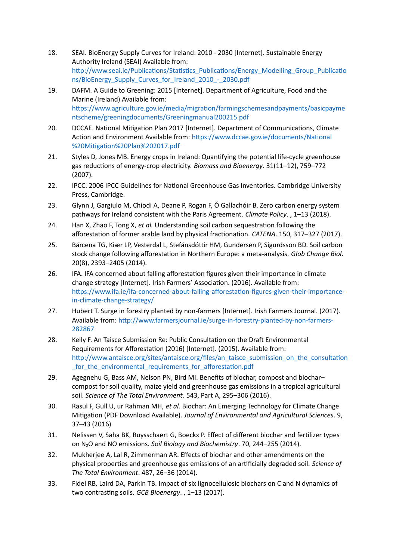- 18. SEAI. BioEnergy Supply Curves for Ireland: 2010 2030 [Internet]. Sustainable Energy Authority Ireland (SEAI) Available from: [http://www.seai.ie/Publications/Statistics\\_Publications/Energy\\_Modelling\\_Group\\_Publicatio](http://www.seai.ie/Publications/Statistics_Publications/Energy_Modelling_Group_Publications/BioEnergy_Supply_Curves_for_Ireland_2010_-_2030.pdf) [ns/BioEnergy\\_Supply\\_Curves\\_for\\_Ireland\\_2010\\_-\\_2030.pdf](http://www.seai.ie/Publications/Statistics_Publications/Energy_Modelling_Group_Publications/BioEnergy_Supply_Curves_for_Ireland_2010_-_2030.pdf)
- 19. DAFM. A Guide to Greening: 2015 [Internet]. Department of Agriculture, Food and the Marine (Ireland) Available from: [https://www.agriculture.gov.ie/media/migration/farmingschemesandpayments/basicpayme](https://www.agriculture.gov.ie/media/migration/farmingschemesandpayments/basicpaymentscheme/greeningdocuments/Greeningmanual200215.pdf) [ntscheme/greeningdocuments/Greeningmanual200215.pdf](https://www.agriculture.gov.ie/media/migration/farmingschemesandpayments/basicpaymentscheme/greeningdocuments/Greeningmanual200215.pdf)
- 20. DCCAE. National Mitigation Plan 2017 [Internet]. Department of Communications, Climate Action and Environment Available from: [https://www.dccae.gov.ie/documents/National](https://www.dccae.gov.ie/documents/National%20Mitigation%20Plan%202017.pdf) [%20Mitigation%20Plan%202017.pdf](https://www.dccae.gov.ie/documents/National%20Mitigation%20Plan%202017.pdf)
- 21. Styles D, Jones MB. Energy crops in Ireland: Quantifying the potential life-cycle greenhouse gas reductions of energy-crop electricity. *Biomass and Bioenergy*. 31(11–12), 759–772 (2007).
- 22. IPCC. 2006 IPCC Guidelines for National Greenhouse Gas Inventories. Cambridge University Press, Cambridge.
- 23. Glynn J, Gargiulo M, Chiodi A, Deane P, Rogan F, Ó Gallachóir B. Zero carbon energy system pathways for Ireland consistent with the Paris Agreement. *Climate Policy*. , 1–13 (2018).
- 24. Han X, Zhao F, Tong X, *et al.* Understanding soil carbon sequestration following the afforestation of former arable land by physical fractionation. *CATENA*. 150, 317–327 (2017).
- 25. Bárcena TG, Kiær LP, Vesterdal L, Stefánsdóttir HM, Gundersen P, Sigurdsson BD. Soil carbon stock change following afforestation in Northern Europe: a meta-analysis. *Glob Change Biol*. 20(8), 2393–2405 (2014).
- 26. IFA. IFA concerned about falling afforestation figures given their importance in climate change strategy [Internet]. Irish Farmers' Association. (2016). Available from: [https://www.ifa.ie/ifa-concerned-about-falling-afforestation-figures-given-their-importance](https://www.ifa.ie/ifa-concerned-about-falling-afforestation-figures-given-their-importance-in-climate-change-strategy/)[in-climate-change-strategy/](https://www.ifa.ie/ifa-concerned-about-falling-afforestation-figures-given-their-importance-in-climate-change-strategy/)
- 27. Hubert T. Surge in forestry planted by non-farmers [Internet]. Irish Farmers Journal. (2017). Available from: [http://www.farmersjournal.ie/surge-in-forestry-planted-by-non-farmers-](http://www.farmersjournal.ie/surge-in-forestry-planted-by-non-farmers-282867)[282867](http://www.farmersjournal.ie/surge-in-forestry-planted-by-non-farmers-282867)
- 28. Kelly F. An Taisce Submission Re: Public Consultation on the Draft Environmental Requirements for Afforestation (2016) [Internet]. (2015). Available from: [http://www.antaisce.org/sites/antaisce.org/files/an\\_taisce\\_submission\\_on\\_the\\_consultation](http://www.antaisce.org/sites/antaisce.org/files/an_taisce_submission_on_the_consultation_for_the_environmental_requirements_for_afforestation.pdf) [\\_for\\_the\\_environmental\\_requirements\\_for\\_afforestation.pdf](http://www.antaisce.org/sites/antaisce.org/files/an_taisce_submission_on_the_consultation_for_the_environmental_requirements_for_afforestation.pdf)
- 29. Agegnehu G, Bass AM, Nelson PN, Bird MI. Benefits of biochar, compost and biochar– compost for soil quality, maize yield and greenhouse gas emissions in a tropical agricultural soil. *Science of The Total Environment*. 543, Part A, 295–306 (2016).
- 30. Rasul F, Gull U, ur Rahman MH, *et al.* Biochar: An Emerging Technology for Climate Change Mitigation (PDF Download Available). *Journal of Environmental and Agricultural Sciences*. 9, 37–43 (2016)
- 31. Nelissen V, Saha BK, Ruysschaert G, Boeckx P. Effect of different biochar and fertilizer types on N2O and NO emissions. *Soil Biology and Biochemistry*. 70, 244–255 (2014).
- 32. Mukherjee A, Lal R, Zimmerman AR. Effects of biochar and other amendments on the physical properties and greenhouse gas emissions of an artificially degraded soil. *Science of The Total Environment*. 487, 26–36 (2014).
- 33. Fidel RB, Laird DA, Parkin TB. Impact of six lignocellulosic biochars on C and N dynamics of two contrasting soils. *GCB Bioenergy*. , 1–13 (2017).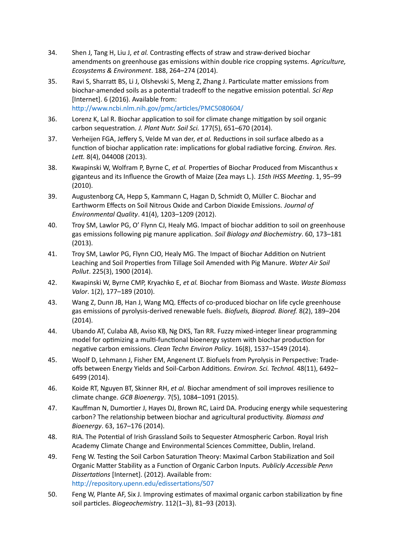- 34. Shen J, Tang H, Liu J, *et al.* Contrasting effects of straw and straw-derived biochar amendments on greenhouse gas emissions within double rice cropping systems. *Agriculture, Ecosystems & Environment*. 188, 264–274 (2014).
- 35. Ravi S, Sharratt BS, Li J, Olshevski S, Meng Z, Zhang J. Particulate matter emissions from biochar-amended soils as a potential tradeoff to the negative emission potential. *Sci Rep* [Internet]. 6 (2016). Available from: <http://www.ncbi.nlm.nih.gov/pmc/articles/PMC5080604/>
- 36. Lorenz K, Lal R. Biochar application to soil for climate change mitigation by soil organic carbon sequestration. *J. Plant Nutr. Soil Sci.* 177(5), 651–670 (2014).
- 37. Verheijen FGA, Jeffery S, Velde M van der, *et al.* Reductions in soil surface albedo as a function of biochar application rate: implications for global radiative forcing. *Environ. Res. Lett.* 8(4), 044008 (2013).
- 38. Kwapinski W, Wolfram P, Byrne C, *et al.* Properties of Biochar Produced from Miscanthus x giganteus and its Influence the Growth of Maize (Zea mays L.). *15th IHSS Meeting*. 1, 95–99 (2010).
- 39. Augustenborg CA, Hepp S, Kammann C, Hagan D, Schmidt O, Müller C. Biochar and Earthworm Effects on Soil Nitrous Oxide and Carbon Dioxide Emissions. *Journal of Environmental Quality*. 41(4), 1203–1209 (2012).
- 40. Troy SM, Lawlor PG, O' Flynn CJ, Healy MG. Impact of biochar addition to soil on greenhouse gas emissions following pig manure application. *Soil Biology and Biochemistry*. 60, 173–181 (2013).
- 41. Troy SM, Lawlor PG, Flynn CJO, Healy MG. The Impact of Biochar Addition on Nutrient Leaching and Soil Properties from Tillage Soil Amended with Pig Manure. *Water Air Soil Pollut*. 225(3), 1900 (2014).
- 42. Kwapinski W, Byrne CMP, Kryachko E, *et al.* Biochar from Biomass and Waste. *Waste Biomass Valor*. 1(2), 177–189 (2010).
- 43. Wang Z, Dunn JB, Han J, Wang MQ. Effects of co-produced biochar on life cycle greenhouse gas emissions of pyrolysis-derived renewable fuels. *Biofuels, Bioprod. Bioref.* 8(2), 189–204 (2014).
- 44. Ubando AT, Culaba AB, Aviso KB, Ng DKS, Tan RR. Fuzzy mixed-integer linear programming model for optimizing a multi-functional bioenergy system with biochar production for negative carbon emissions. *Clean Techn Environ Policy*. 16(8), 1537–1549 (2014).
- 45. Woolf D, Lehmann J, Fisher EM, Angenent LT. Biofuels from Pyrolysis in Perspective: Tradeoffs between Energy Yields and Soil-Carbon Additions. *Environ. Sci. Technol.* 48(11), 6492– 6499 (2014).
- 46. Koide RT, Nguyen BT, Skinner RH, *et al.* Biochar amendment of soil improves resilience to climate change. *GCB Bioenergy*. 7(5), 1084–1091 (2015).
- 47. Kauffman N, Dumortier J, Hayes DJ, Brown RC, Laird DA. Producing energy while sequestering carbon? The relationship between biochar and agricultural productivity. *Biomass and Bioenergy*. 63, 167–176 (2014).
- 48. RIA. The Potential of Irish Grassland Soils to Sequester Atmospheric Carbon. Royal Irish Academy Climate Change and Environmental Sciences Committee, Dublin, Ireland.
- 49. Feng W. Testing the Soil Carbon Saturation Theory: Maximal Carbon Stabilization and Soil Organic Matter Stability as a Function of Organic Carbon Inputs. *Publicly Accessible Penn Dissertations* [Internet]. (2012). Available from: <http://repository.upenn.edu/edissertations/507>
- 50. Feng W, Plante AF, Six J. Improving estimates of maximal organic carbon stabilization by fine soil particles. *Biogeochemistry*. 112(1–3), 81–93 (2013).